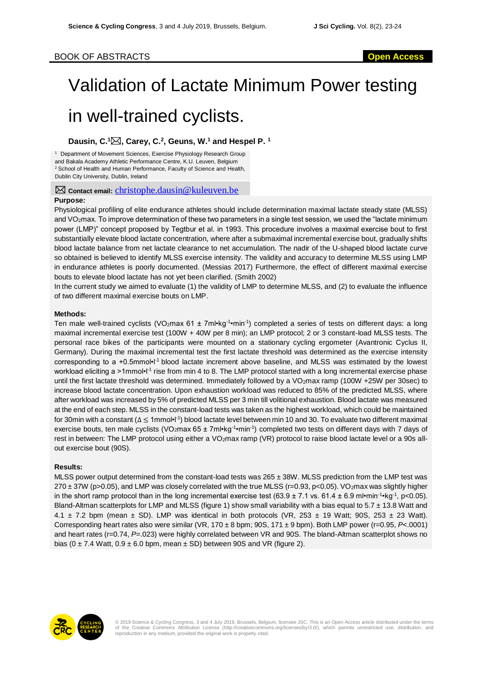## BOOK OF ABSTRACTS **Open Access**

# Validation of Lactate Minimum Power testing in well-trained cyclists.

### **Dausin, C. <sup>1</sup>, Carey, C. 2 , Geuns, W. <sup>1</sup> and Hespel P. 1**

<sup>1</sup> Department of Movement Sciences, Exercise Physiology Research Group and Bakala Academy Athletic Performance Centre, K.U. Leuven, Belgium <sup>2</sup> School of Health and Human Performance, Faculty of Science and Health, Dublin City University, Dublin, Ireland

**E** Contact email: [christophe.dausin@kuleuven.be](mailto:christophe.dausin@kuleuven.be)

#### **Purpose:**

Physiological profiling of elite endurance athletes should include determination maximal lactate steady state (MLSS) and VO<sub>2</sub>max. To improve determination of these two parameters in a single test session, we used the "lactate minimum power (LMP)" concept proposed by Tegtbur et al. in 1993. This procedure involves a maximal exercise bout to first substantially elevate blood lactate concentration, where after a submaximal incremental exercise bout, gradually shifts blood lactate balance from net lactate clearance to net accumulation. The nadir of the U-shaped blood lactate curve so obtained is believed to identify MLSS exercise intensity. The validity and accuracy to determine MLSS using LMP in endurance athletes is poorly documented. (Messias 2017) Furthermore, the effect of different maximal exercise bouts to elevate blood lactate has not yet been clarified. (Smith 2002)

In the current study we aimed to evaluate (1) the validity of LMP to determine MLSS, and (2) to evaluate the influence of two different maximal exercise bouts on LMP.

#### **Methods:**

Ten male well-trained cyclists (VO<sub>2</sub>max 61 ± 7ml•kg<sup>-1</sup>•min<sup>-1</sup>) completed a series of tests on different days: a long maximal incremental exercise test (100W + 40W per 8 min); an LMP protocol; 2 or 3 constant-load MLSS tests. The personal race bikes of the participants were mounted on a stationary cycling ergometer (Avantronic Cyclus II, Germany). During the maximal incremental test the first lactate threshold was determined as the exercise intensity corresponding to a +0.5mmol•l<sup>-1</sup> blood lactate increment above baseline, and MLSS was estimated by the lowest workload eliciting a >1mmol•l<sup>-1</sup> rise from min 4 to 8. The LMP protocol started with a long incremental exercise phase until the first lactate threshold was determined. Immediately followed by a VO<sub>2</sub>max ramp (100W +25W per 30sec) to increase blood lactate concentration. Upon exhaustion workload was reduced to 85% of the predicted MLSS, where after workload was increased by 5% of predicted MLSS per 3 min till volitional exhaustion. Blood lactate was measured at the end of each step. MLSS in the constant-load tests was taken as the highest workload, which could be maintained for 30min with a constant (∆ ≤ 1mmol•l<sup>-1</sup>) blood lactate level between min 10 and 30. To evaluate two different maximal exercise bouts, ten male cyclists (VO<sub>2</sub>max 65 ± 7ml•kg<sup>-1</sup>•min<sup>-1</sup>) completed two tests on different days with 7 days of rest in between: The LMP protocol using either a VO<sub>2</sub>max ramp (VR) protocol to raise blood lactate level or a 90s allout exercise bout (90S).

#### **Results:**

MLSS power output determined from the constant-load tests was 265 ± 38W. MLSS prediction from the LMP test was  $270 \pm 37W$  (p>0.05), and LMP was closely correlated with the true MLSS (r=0.93, p<0.05). VO2max was slightly higher in the short ramp protocol than in the long incremental exercise test  $(63.9 \pm 7.1 \text{ vs. } 61.4 \pm 6.9 \text{ m} \cdot \text{min}^{-1} \cdot \text{kg}^{-1}, \text{p} < 0.05)$ . Bland-Altman scatterplots for LMP and MLSS (figure 1) show small variability with a bias equal to 5.7 ± 13.8 Watt and 4.1  $\pm$  7.2 bpm (mean  $\pm$  SD). LMP was identical in both protocols (VR, 253  $\pm$  19 Watt; 90S, 253  $\pm$  23 Watt). Corresponding heart rates also were similar (VR, 170 ± 8 bpm; 90S, 171 ± 9 bpm). Both LMP power (r=0.95, *P*<.0001) and heart rates (r=0.74, *P*=.023) were highly correlated between VR and 90S. The bland-Altman scatterplot shows no bias ( $0 \pm 7.4$  Watt,  $0.9 \pm 6.0$  bpm, mean  $\pm$  SD) between 90S and VR (figure 2).